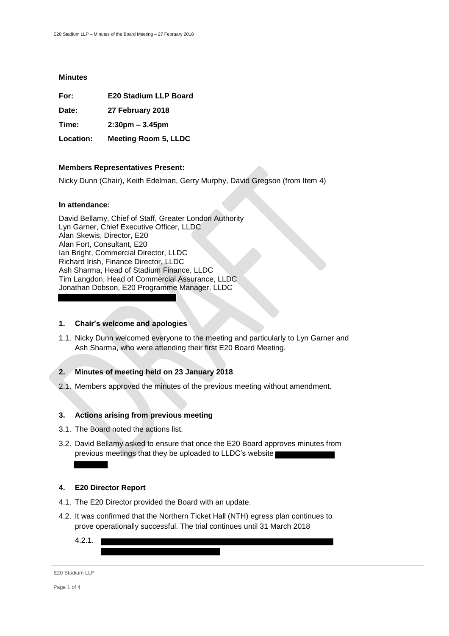#### **Minutes**

| For: | <b>E20 Stadium LLP Board</b> |  |
|------|------------------------------|--|
|      |                              |  |

**Date: 27 February 2018**

**Time: 2:30pm – 3.45pm**

**Location: Meeting Room 5, LLDC**

### **Members Representatives Present:**

Nicky Dunn (Chair), Keith Edelman, Gerry Murphy, David Gregson (from Item 4)

### **In attendance:**

David Bellamy, Chief of Staff, Greater London Authority Lyn Garner, Chief Executive Officer, LLDC Alan Skewis, Director, E20 Alan Fort, Consultant, E20 Ian Bright, Commercial Director, LLDC Richard Irish, Finance Director, LLDC Ash Sharma, Head of Stadium Finance, LLDC Tim Langdon, Head of Commercial Assurance, LLDC Jonathan Dobson, E20 Programme Manager, LLDC

#### **1. Chair's welcome and apologies**

1.1. Nicky Dunn welcomed everyone to the meeting and particularly to Lyn Garner and Ash Sharma, who were attending their first E20 Board Meeting.

### **2. Minutes of meeting held on 23 January 2018**

2.1. Members approved the minutes of the previous meeting without amendment.

### **3. Actions arising from previous meeting**

- 3.1. The Board noted the actions list.
- 3.2. David Bellamy asked to ensure that once the E20 Board approves minutes from previous meetings that they be uploaded to LLDC's website

### **4. E20 Director Report**

- 4.1. The E20 Director provided the Board with an update.
- 4.2. It was confirmed that the Northern Ticket Hall (NTH) egress plan continues to prove operationally successful. The trial continues until 31 March 2018
	- 4.2.1.

E20 Stadium LLP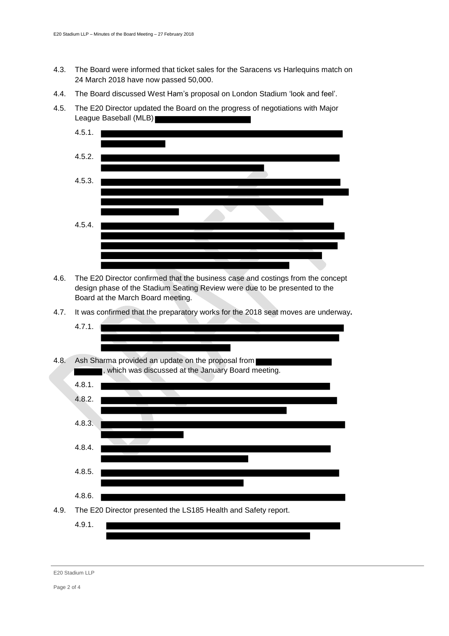- 4.3. The Board were informed that ticket sales for the Saracens vs Harlequins match on 24 March 2018 have now passed 50,000.
- 4.4. The Board discussed West Ham's proposal on London Stadium 'look and feel'.
- 4.5. The E20 Director updated the Board on the progress of negotiations with Major League Baseball (MLB) a an a



- 4.6. The E20 Director confirmed that the business case and costings from the concept design phase of the Stadium Seating Review were due to be presented to the Board at the March Board meeting.
- 4.7. It was confirmed that the preparatory works for the 2018 seat moves are underway**.**



E20 Stadium LLP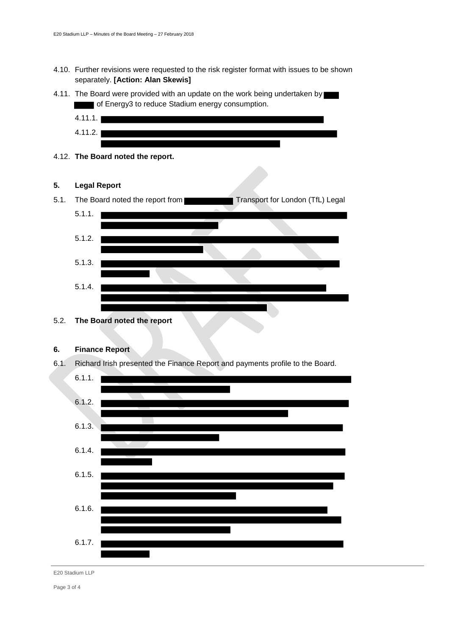- 4.10. Further revisions were requested to the risk register format with issues to be shown separately. **[Action: Alan Skewis]**
- 4.11. The Board were provided with an update on the work being undertaken by of Energy3 to reduce Stadium energy consumption.



4.12. **The Board noted the report.**

### **5. Legal Report**



# **6. Finance Report**

6.1. Richard Irish presented the Finance Report and payments profile to the Board.